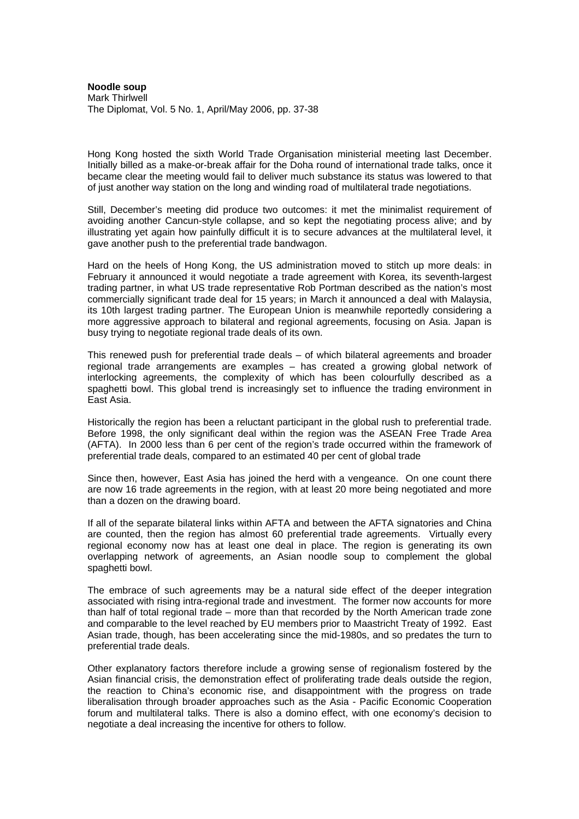**Noodle soup**  Mark Thirlwell The Diplomat, Vol. 5 No. 1, April/May 2006, pp. 37-38

Hong Kong hosted the sixth World Trade Organisation ministerial meeting last December. Initially billed as a make-or-break affair for the Doha round of international trade talks, once it became clear the meeting would fail to deliver much substance its status was lowered to that of just another way station on the long and winding road of multilateral trade negotiations.

Still, December's meeting did produce two outcomes: it met the minimalist requirement of avoiding another Cancun-style collapse, and so kept the negotiating process alive; and by illustrating yet again how painfully difficult it is to secure advances at the multilateral level, it gave another push to the preferential trade bandwagon.

Hard on the heels of Hong Kong, the US administration moved to stitch up more deals: in February it announced it would negotiate a trade agreement with Korea, its seventh-largest trading partner, in what US trade representative Rob Portman described as the nation's most commercially significant trade deal for 15 years; in March it announced a deal with Malaysia, its 10th largest trading partner. The European Union is meanwhile reportedly considering a more aggressive approach to bilateral and regional agreements, focusing on Asia. Japan is busy trying to negotiate regional trade deals of its own.

This renewed push for preferential trade deals – of which bilateral agreements and broader regional trade arrangements are examples – has created a growing global network of interlocking agreements, the complexity of which has been colourfully described as a spaghetti bowl. This global trend is increasingly set to influence the trading environment in East Asia.

Historically the region has been a reluctant participant in the global rush to preferential trade. Before 1998, the only significant deal within the region was the ASEAN Free Trade Area (AFTA). In 2000 less than 6 per cent of the region's trade occurred within the framework of preferential trade deals, compared to an estimated 40 per cent of global trade

Since then, however, East Asia has joined the herd with a vengeance. On one count there are now 16 trade agreements in the region, with at least 20 more being negotiated and more than a dozen on the drawing board.

If all of the separate bilateral links within AFTA and between the AFTA signatories and China are counted, then the region has almost 60 preferential trade agreements. Virtually every regional economy now has at least one deal in place. The region is generating its own overlapping network of agreements, an Asian noodle soup to complement the global spaghetti bowl.

The embrace of such agreements may be a natural side effect of the deeper integration associated with rising intra-regional trade and investment. The former now accounts for more than half of total regional trade – more than that recorded by the North American trade zone and comparable to the level reached by EU members prior to Maastricht Treaty of 1992. East Asian trade, though, has been accelerating since the mid-1980s, and so predates the turn to preferential trade deals.

Other explanatory factors therefore include a growing sense of regionalism fostered by the Asian financial crisis, the demonstration effect of proliferating trade deals outside the region, the reaction to China's economic rise, and disappointment with the progress on trade liberalisation through broader approaches such as the Asia - Pacific Economic Cooperation forum and multilateral talks. There is also a domino effect, with one economy's decision to negotiate a deal increasing the incentive for others to follow.